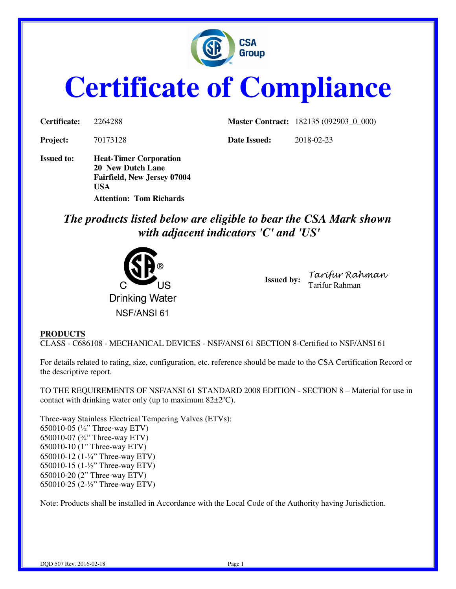

# **Certificate of Compliance**

| <b>Certificate:</b> | 2264288                                                                                  |              | <b>Master Contract:</b> 182135 (092903_0_000) |
|---------------------|------------------------------------------------------------------------------------------|--------------|-----------------------------------------------|
| <b>Project:</b>     | 70173128                                                                                 | Date Issued: | 2018-02-23                                    |
| <b>Issued to:</b>   | <b>Heat-Timer Corporation</b><br>20 New Dutch Lane<br><b>Fairfield, New Jersey 07004</b> |              |                                               |

*The products listed below are eligible to bear the CSA Mark shown with adjacent indicators 'C' and 'US'* 



**Attention: Tom Richards** 

**USA** 

**Issued by:** *Tarifur Rahman* Tarifur Rahman

#### **PRODUCTS**

CLASS - C686108 - MECHANICAL DEVICES - NSF/ANSI 61 SECTION 8-Certified to NSF/ANSI 61

For details related to rating, size, configuration, etc. reference should be made to the CSA Certification Record or the descriptive report.

TO THE REQUIREMENTS OF NSF/ANSI 61 STANDARD 2008 EDITION - SECTION 8 – Material for use in contact with drinking water only (up to maximum  $82\pm2^{\circ}\text{C}$ ).

Three-way Stainless Electrical Tempering Valves (ETVs): 650010-05 (½" Three-way ETV) 650010-07 (¾" Three-way ETV) 650010-10 (1" Three-way ETV) 650010-12 (1-¼" Three-way ETV) 650010-15 (1-½" Three-way ETV) 650010-20 (2" Three-way ETV) 650010-25 (2-½" Three-way ETV)

Note: Products shall be installed in Accordance with the Local Code of the Authority having Jurisdiction.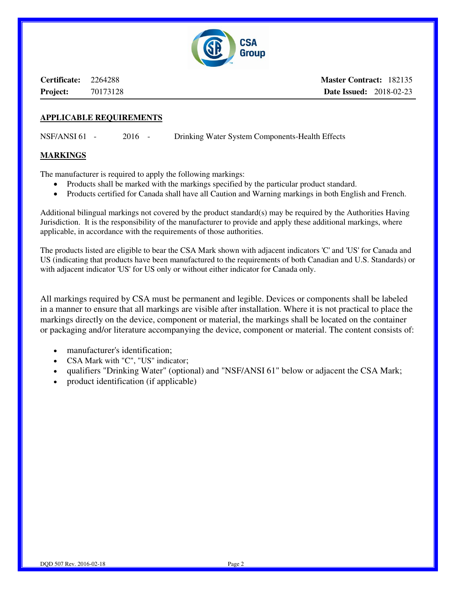

**Certificate:** 2264288 **Project:** 70173128 **Master Contract:** 182135 **Date Issued:** 2018-02-23

#### **APPLICABLE REQUIREMENTS**

NSF/ANSI 61 - 2016 - Drinking Water System Components-Health Effects

#### **MARKINGS**

The manufacturer is required to apply the following markings:

- Products shall be marked with the markings specified by the particular product standard.
- Products certified for Canada shall have all Caution and Warning markings in both English and French.

Additional bilingual markings not covered by the product standard(s) may be required by the Authorities Having Jurisdiction. It is the responsibility of the manufacturer to provide and apply these additional markings, where applicable, in accordance with the requirements of those authorities.

The products listed are eligible to bear the CSA Mark shown with adjacent indicators 'C' and 'US' for Canada and US (indicating that products have been manufactured to the requirements of both Canadian and U.S. Standards) or with adjacent indicator 'US' for US only or without either indicator for Canada only.

All markings required by CSA must be permanent and legible. Devices or components shall be labeled in a manner to ensure that all markings are visible after installation. Where it is not practical to place the markings directly on the device, component or material, the markings shall be located on the container or packaging and/or literature accompanying the device, component or material. The content consists of:

- manufacturer's identification;
- CSA Mark with "C", "US" indicator;
- qualifiers "Drinking Water" (optional) and "NSF/ANSI 61" below or adjacent the CSA Mark;
- product identification (if applicable)